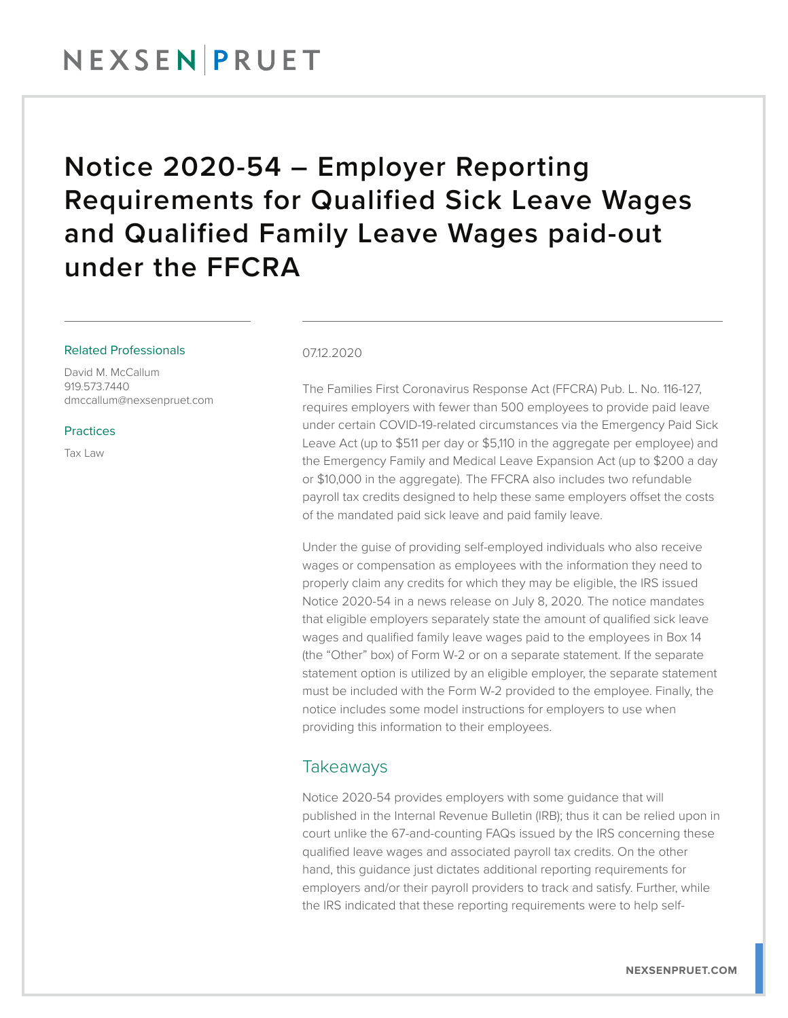## Notice 2020-54 – Employer Reporting Requirements for Qualified Sick Leave Wages and Qualified Family Leave Wages paid-out under the FFCRA

#### Related Professionals

David M. McCallum 919.573.7440 dmccallum@nexsenpruet.com

**Practices** 

Tax Law

#### 07.12.2020

The Families First Coronavirus Response Act (FFCRA) Pub. L. No. 116-127, requires employers with fewer than 500 employees to provide paid leave under certain COVID-19-related circumstances via the Emergency Paid Sick Leave Act (up to \$511 per day or \$5,110 in the aggregate per employee) and the Emergency Family and Medical Leave Expansion Act (up to \$200 a day or \$10,000 in the aggregate). The FFCRA also includes two refundable payroll tax credits designed to help these same employers offset the costs of the mandated paid sick leave and paid family leave.

Under the guise of providing self-employed individuals who also receive wages or compensation as employees with the information they need to properly claim any credits for which they may be eligible, the IRS issued Notice 2020-54 in a news release on July 8, 2020. The notice mandates that eligible employers separately state the amount of qualified sick leave wages and qualified family leave wages paid to the employees in Box 14 (the "Other" box) of Form W-2 or on a separate statement. If the separate statement option is utilized by an eligible employer, the separate statement must be included with the Form W-2 provided to the employee. Finally, the notice includes some model instructions for employers to use when providing this information to their employees.

### Takeaways

Notice 2020-54 provides employers with some guidance that will published in the Internal Revenue Bulletin (IRB); thus it can be relied upon in court unlike the 67-and-counting FAQs issued by the IRS concerning these qualified leave wages and associated payroll tax credits. On the other hand, this guidance just dictates additional reporting requirements for employers and/or their payroll providers to track and satisfy. Further, while the IRS indicated that these reporting requirements were to help self-